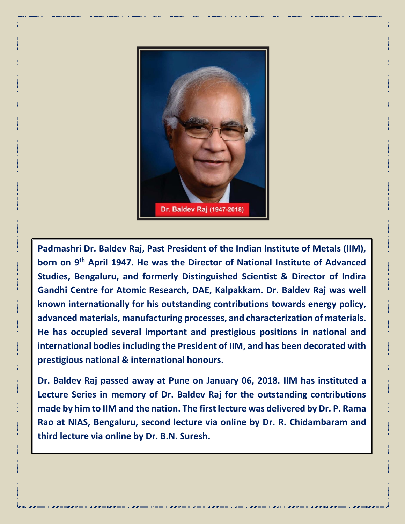

**Padmashri Dr. Baldev Raj, Past President of the Indian Institute of Metals (IIM), born on 9th April 1947. He was the Director of National Institute of Advanced Studies, Bengaluru, and formerly Distinguished Scientist & Director of Indira Gandhi Centre for Atomic Research, DAE, Kalpakkam. Dr. Baldev Raj was well known internationally for his outstanding contributions towards energy policy, advanced materials, manufacturing processes, and characterization of materials. He has occupied several important and prestigious positions in national and international bodies including the President of IIM, and has been decorated with prestigious national & international honours.**

**Dr. Baldev Raj passed away at Pune on January 06, 2018. IIM has instituted a Lecture Series in memory of Dr. Baldev Raj for the outstanding contributions made by him to IIM and the nation. The first lecture was delivered by Dr. P. Rama Rao at NIAS, Bengaluru, second lecture via online by Dr. R. Chidambaram and third lecture via online by Dr. B.N. Suresh.**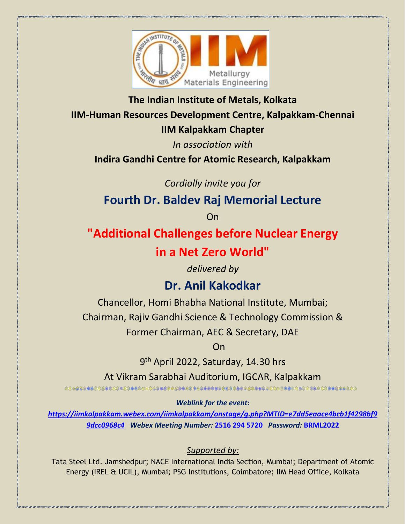

**The Indian Institute of Metals, Kolkata IIM-Human Resources Development Centre, Kalpakkam-Chennai IIM Kalpakkam Chapter**

*In association with*

**Indira Gandhi Centre for Atomic Research, Kalpakkam**

*Cordially invite you for*

**Fourth Dr. Baldev Raj Memorial Lecture**

On

**"Additional Challenges before Nuclear Energy** 

## **in a Net Zero World"**

*delivered by*

## **Dr. Anil Kakodkar**

Chancellor, Homi Bhabha National Institute, Mumbai; Chairman, Rajiv Gandhi Science & Technology Commission &

Former Chairman, AEC & Secretary, DAE

**On the contract of the contract of the Contract of Contract of the Contract of the Contract of the Contract of** 

. . . . . . . . . . . . . . . . . .

9<sup>th</sup> April 2022, Saturday, 14.30 hrs

At Vikram Sarabhai Auditorium, IGCAR, Kalpakkam

*Weblink for the event:* 

*[https://iimkalpakkam.webex.com/iimkalpakkam/onstage/g.php?MTID=e7dd5eaace4bcb1f4298bf9](https://iimkalpakkam.webex.com/iimkalpakkam/onstage/g.php?MTID=e7dd5eaace4bcb1f4298bf99dcc0968c4) [9dcc0968c4](https://iimkalpakkam.webex.com/iimkalpakkam/onstage/g.php?MTID=e7dd5eaace4bcb1f4298bf99dcc0968c4) Webex Meeting Number:* **2516 294 5720** *Password:* **BRML2022**

## *Supported by:*

Tata Steel Ltd. Jamshedpur; NACE International India Section, Mumbai; Department of Atomic Energy (IREL & UCIL), Mumbai; PSG Institutions, Coimbatore; IIM Head Office, Kolkata